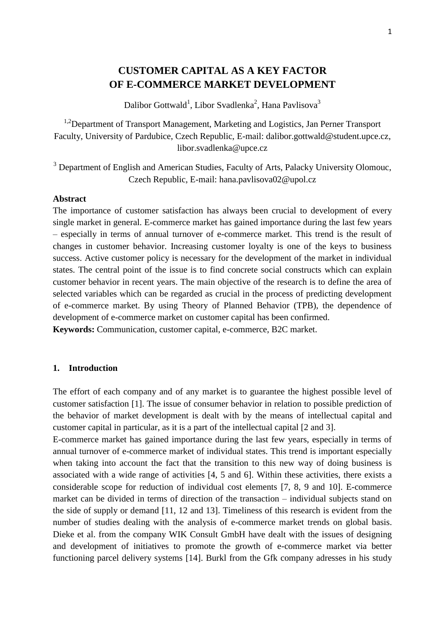# **CUSTOMER CAPITAL AS A KEY FACTOR OF E-COMMERCE MARKET DEVELOPMENT**

Dalibor Gottwald<sup>1</sup>, Libor Svadlenka<sup>2</sup>, Hana Pavlisova<sup>3</sup>

<sup>1,2</sup>Department of Transport Management, Marketing and Logistics, Jan Perner Transport Faculty, University of Pardubice, Czech Republic, E-mail: dalibor.gottwald@student.upce.cz, libor.svadlenka@upce.cz

<sup>3</sup> Department of English and American Studies, Faculty of Arts, Palacky University Olomouc, Czech Republic, E-mail: hana.pavlisova02@upol.cz

#### **Abstract**

The importance of customer satisfaction has always been crucial to development of every single market in general. E-commerce market has gained importance during the last few years – especially in terms of annual turnover of e-commerce market. This trend is the result of changes in customer behavior. Increasing customer loyalty is one of the keys to business success. Active customer policy is necessary for the development of the market in individual states. The central point of the issue is to find concrete social constructs which can explain customer behavior in recent years. The main objective of the research is to define the area of selected variables which can be regarded as crucial in the process of predicting development of e-commerce market. By using Theory of Planned Behavior (TPB), the dependence of development of e-commerce market on customer capital has been confirmed.

**Keywords:** Communication, customer capital, e-commerce, B2C market.

#### **1. Introduction**

The effort of each company and of any market is to guarantee the highest possible level of customer satisfaction [1]. The issue of consumer behavior in relation to possible prediction of the behavior of market development is dealt with by the means of intellectual capital and customer capital in particular, as it is a part of the intellectual capital [2 and 3].

E-commerce market has gained importance during the last few years, especially in terms of annual turnover of e-commerce market of individual states. This trend is important especially when taking into account the fact that the transition to this new way of doing business is associated with a wide range of activities [4, 5 and 6]. Within these activities, there exists a considerable scope for reduction of individual cost elements [7, 8, 9 and 10]. E-commerce market can be divided in terms of direction of the transaction – individual subjects stand on the side of supply or demand [11, 12 and 13]. Timeliness of this research is evident from the number of studies dealing with the analysis of e-commerce market trends on global basis. Dieke et al. from the company WIK Consult GmbH have dealt with the issues of designing and development of initiatives to promote the growth of e-commerce market via better functioning parcel delivery systems [14]. Burkl from the Gfk company adresses in his study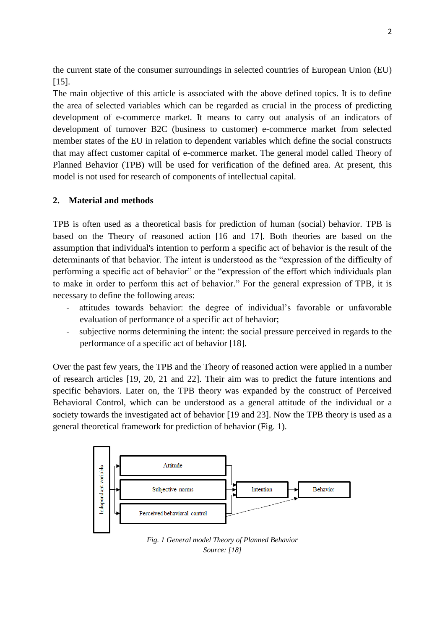the current state of the consumer surroundings in selected countries of European Union (EU) [15].

The main objective of this article is associated with the above defined topics. It is to define the area of selected variables which can be regarded as crucial in the process of predicting development of e-commerce market. It means to carry out analysis of an indicators of development of turnover B2C (business to customer) e-commerce market from selected member states of the EU in relation to dependent variables which define the social constructs that may affect customer capital of e-commerce market. The general model called Theory of Planned Behavior (TPB) will be used for verification of the defined area. At present, this model is not used for research of components of intellectual capital.

## **2. Material and methods**

TPB is often used as a theoretical basis for prediction of human (social) behavior. TPB is based on the Theory of reasoned action [16 and 17]. Both theories are based on the assumption that individual's intention to perform a specific act of behavior is the result of the determinants of that behavior. The intent is understood as the "expression of the difficulty of performing a specific act of behavior" or the "expression of the effort which individuals plan to make in order to perform this act of behavior." For the general expression of TPB, it is necessary to define the following areas:

- attitudes towards behavior: the degree of individual's favorable or unfavorable evaluation of performance of a specific act of behavior;
- subjective norms determining the intent: the social pressure perceived in regards to the performance of a specific act of behavior [18].

Over the past few years, the TPB and the Theory of reasoned action were applied in a number of research articles [19, 20, 21 and 22]. Their aim was to predict the future intentions and specific behaviors. Later on, the TPB theory was expanded by the construct of Perceived Behavioral Control, which can be understood as a general attitude of the individual or a society towards the investigated act of behavior [19 and 23]. Now the TPB theory is used as a general theoretical framework for prediction of behavior (Fig. 1).



*Fig. 1 General model Theory of Planned Behavior Source: [18]*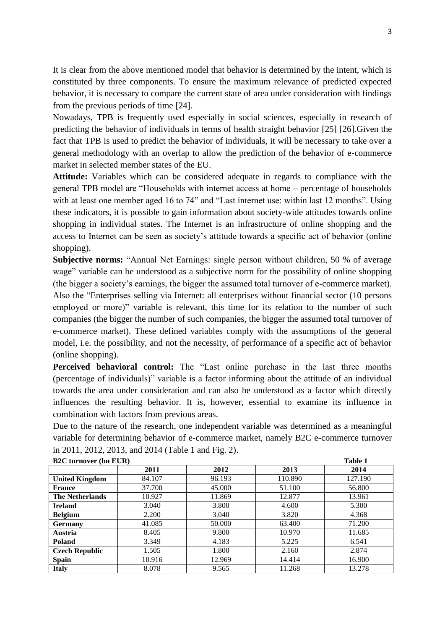It is clear from the above mentioned model that behavior is determined by the intent, which is constituted by three components. To ensure the maximum relevance of predicted expected behavior, it is necessary to compare the current state of area under consideration with findings from the previous periods of time [24].

Nowadays, TPB is frequently used especially in social sciences, especially in research of predicting the behavior of individuals in terms of health straight behavior [25] [26].Given the fact that TPB is used to predict the behavior of individuals, it will be necessary to take over a general methodology with an overlap to allow the prediction of the behavior of e-commerce market in selected member states of the EU.

**Attitude:** Variables which can be considered adequate in regards to compliance with the general TPB model are "Households with internet access at home – percentage of households with at least one member aged 16 to 74" and "Last internet use: within last 12 months". Using these indicators, it is possible to gain information about society-wide attitudes towards online shopping in individual states. The Internet is an infrastructure of online shopping and the access to Internet can be seen as society's attitude towards a specific act of behavior (online shopping).

**Subjective norms:** "Annual Net Earnings: single person without children, 50 % of average wage" variable can be understood as a subjective norm for the possibility of online shopping (the bigger a society's earnings, the bigger the assumed total turnover of e-commerce market). Also the "Enterprises selling via Internet: all enterprises without financial sector (10 persons employed or more)" variable is relevant, this time for its relation to the number of such companies (the bigger the number of such companies, the bigger the assumed total turnover of e-commerce market). These defined variables comply with the assumptions of the general model, i.e. the possibility, and not the necessity, of performance of a specific act of behavior (online shopping).

**Perceived behavioral control:** The "Last online purchase in the last three months (percentage of individuals)" variable is a factor informing about the attitude of an individual towards the area under consideration and can also be understood as a factor which directly influences the resulting behavior. It is, however, essential to examine its influence in combination with factors from previous areas.

Due to the nature of the research, one independent variable was determined as a meaningful variable for determining behavior of e-commerce market, namely B2C e-commerce turnover in 2011, 2012, 2013, and 2014 (Table 1 and Fig. 2).

| <b>B2C</b> turnover (bn EUR) |        |        |         | Table 1 |
|------------------------------|--------|--------|---------|---------|
|                              | 2011   | 2012   | 2013    | 2014    |
| <b>United Kingdom</b>        | 84.107 | 96.193 | 110.890 | 127.190 |
| <b>France</b>                | 37.700 | 45.000 | 51.100  | 56.800  |
| <b>The Netherlands</b>       | 10.927 | 11.869 | 12.877  | 13.961  |
| <b>Ireland</b>               | 3.040  | 3.800  | 4.600   | 5.300   |
| <b>Belgium</b>               | 2.200  | 3.040  | 3.820   | 4.368   |
| <b>Germany</b>               | 41.085 | 50.000 | 63.400  | 71.200  |
| <b>Austria</b>               | 8.405  | 9.800  | 10.970  | 11.685  |
| <b>Poland</b>                | 3.349  | 4.183  | 5.225   | 6.541   |
| <b>Czech Republic</b>        | 1.505  | 1.800  | 2.160   | 2.874   |
| <b>Spain</b>                 | 10.916 | 12.969 | 14.414  | 16.900  |
| <b>Italy</b>                 | 8.078  | 9.565  | 11.268  | 13.278  |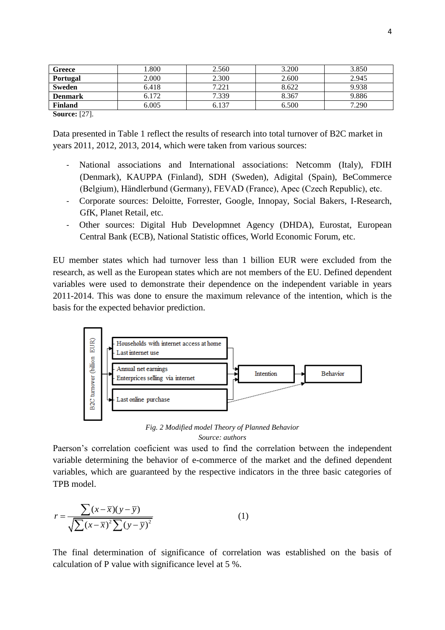| Greece                | .800  | 2.560 | 3.200 | 3.850 |
|-----------------------|-------|-------|-------|-------|
| <b>Portugal</b>       | 2.000 | 2.300 | 2.600 | 2.945 |
| Sweden                | 6.418 | 7.221 | 8.622 | 9.938 |
| <b>Denmark</b>        | 6.172 | 7.339 | 8.367 | 9.886 |
| <b>Finland</b>        | 6.005 | 6.137 | 6.500 | 7.290 |
| $\sim$<br><b>CART</b> |       |       |       |       |

**Source:** [27].

Data presented in Table 1 reflect the results of research into total turnover of B2C market in years 2011, 2012, 2013, 2014, which were taken from various sources:

- National associations and International associations: Netcomm (Italy), FDIH (Denmark), KAUPPA (Finland), SDH (Sweden), Adigital (Spain), BeCommerce (Belgium), Händlerbund (Germany), FEVAD (France), Apec (Czech Republic), etc.
- Corporate sources: Deloitte, Forrester, Google, Innopay, Social Bakers, I-Research, GfK, Planet Retail, etc.
- Other sources: Digital Hub Developmnet Agency (DHDA), Eurostat, European Central Bank (ECB), National Statistic offices, World Economic Forum, etc.

EU member states which had turnover less than 1 billion EUR were excluded from the research, as well as the European states which are not members of the EU. Defined dependent variables were used to demonstrate their dependence on the independent variable in years 2011-2014. This was done to ensure the maximum relevance of the intention, which is the basis for the expected behavior prediction.



#### *Fig. 2 Modified model Theory of Planned Behavior Source: authors*

Paerson's correlation coeficient was used to find the correlation between the independent variable determining the behavior of e-commerce of the market and the defined dependent variables, which are guaranteed by the respective indicators in the three basic categories of TPB model.

$$
r = \frac{\sum (x - \overline{x})(y - \overline{y})}{\sqrt{\sum (x - \overline{x})^2 \sum (y - \overline{y})^2}}
$$
(1)

The final determination of significance of correlation was established on the basis of calculation of P value with significance level at 5 %.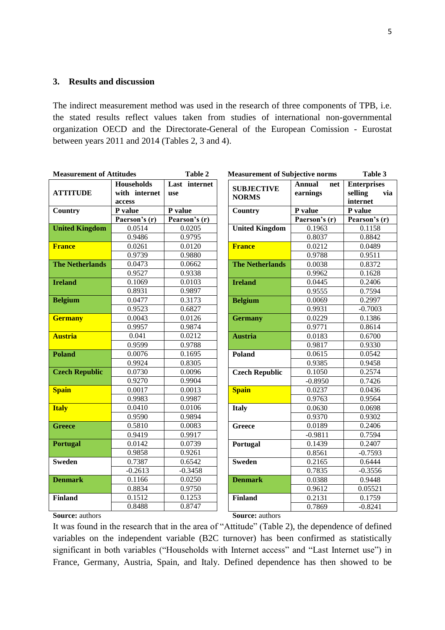## **3. Results and discussion**

The indirect measurement method was used in the research of three components of TPB, i.e. the stated results reflect values taken from studies of international non-governmental organization OECD and the Directorate-General of the European Comission - Eurostat between years 2011 and 2014 (Tables 2, 3 and 4).

| <b>Measurement of Attitudes</b> |                                              | Table 2<br><b>Measurement of Subjective norms</b> |                                   |                                  | Table 3                                          |
|---------------------------------|----------------------------------------------|---------------------------------------------------|-----------------------------------|----------------------------------|--------------------------------------------------|
| <b>ATTITUDE</b>                 | <b>Households</b><br>with internet<br>access | Last internet<br>use                              | <b>SUBJECTIVE</b><br><b>NORMS</b> | <b>Annual</b><br>net<br>earnings | <b>Enterprises</b><br>via<br>selling<br>internet |
| <b>Country</b>                  | P value                                      | P value                                           | <b>Country</b>                    | P value                          | P value                                          |
|                                 | Paerson's (r)                                | Pearson's (r)                                     |                                   | Paerson's $(r)$                  | Pearson's (r)                                    |
| <b>United Kingdom</b>           | 0.0514                                       | 0.0205                                            | <b>United Kingdom</b>             | 0.1963                           | 0.1158                                           |
|                                 | 0.9486                                       | 0.9795                                            |                                   | 0.8037                           | 0.8842                                           |
| <b>France</b>                   | 0.0261                                       | 0.0120                                            | <b>France</b>                     | 0.0212                           | 0.0489                                           |
|                                 | 0.9739                                       | 0.9880                                            |                                   | 0.9788                           | 0.9511                                           |
| <b>The Netherlands</b>          | 0.0473                                       | 0.0662                                            | <b>The Netherlands</b>            | 0.0038                           | 0.8372                                           |
|                                 | 0.9527                                       | 0.9338                                            |                                   | 0.9962                           | 0.1628                                           |
| <b>Ireland</b>                  | 0.1069                                       | 0.0103                                            | <b>Ireland</b>                    | 0.0445                           | 0.2406                                           |
|                                 | 0.8931                                       | 0.9897                                            |                                   | 0.9555                           | 0.7594                                           |
| <b>Belgium</b>                  | 0.0477                                       | 0.3173                                            | <b>Belgium</b>                    | 0.0069                           | 0.2997                                           |
|                                 | 0.9523                                       | 0.6827                                            |                                   | 0.9931                           | $-0.7003$                                        |
| <b>Germany</b>                  | 0.0043                                       | 0.0126                                            | <b>Germany</b>                    | 0.0229                           | 0.1386                                           |
|                                 | 0.9957                                       | 0.9874                                            |                                   | 0.9771                           | 0.8614                                           |
| <b>Austria</b>                  | 0.041                                        | 0.0212                                            | <b>Austria</b>                    | 0.0183                           | 0.6700                                           |
|                                 | 0.9599                                       | 0.9788                                            |                                   | 0.9817                           | 0.9330                                           |
| <b>Poland</b>                   | 0.0076                                       | 0.1695                                            | <b>Poland</b>                     | 0.0615                           | 0.0542                                           |
|                                 | 0.9924                                       | 0.8305                                            |                                   | 0.9385                           | 0.9458                                           |
| <b>Czech Republic</b>           | 0.0730                                       | 0.0096                                            | <b>Czech Republic</b>             | 0.1050                           | 0.2574                                           |
|                                 | 0.9270                                       | 0.9904                                            |                                   | $-0.8950$                        | 0.7426                                           |
| <b>Spain</b>                    | 0.0017                                       | 0.0013                                            | <b>Spain</b>                      | 0.0237                           | 0.0436                                           |
|                                 | 0.9983                                       | 0.9987                                            |                                   | 0.9763                           | 0.9564                                           |
| <b>Italy</b>                    | 0.0410                                       | 0.0106                                            | <b>Italy</b>                      | 0.0630                           | 0.0698                                           |
|                                 | 0.9590                                       | 0.9894                                            |                                   | 0.9370                           | 0.9302                                           |
| <b>Greece</b>                   | 0.5810                                       | 0.0083                                            | <b>Greece</b>                     | 0.0189                           | 0.2406                                           |
|                                 | 0.9419                                       | 0.9917                                            |                                   | $-0.9811$                        | 0.7594                                           |
| <b>Portugal</b>                 | 0.0142                                       | 0.0739                                            | Portugal                          | 0.1439                           | 0.2407                                           |
|                                 | 0.9858                                       | 0.9261                                            |                                   | 0.8561                           | $-0.7593$                                        |
| <b>Sweden</b>                   | 0.7387                                       | 0.6542                                            | <b>Sweden</b>                     | 0.2165                           | 0.6444                                           |
|                                 | $-0.2613$                                    | $-0.3458$                                         |                                   | 0.7835                           | $-0.3556$                                        |
| <b>Denmark</b>                  | 0.1166                                       | 0.0250                                            | <b>Denmark</b>                    | 0.0388                           | 0.9448                                           |
|                                 | 0.8834                                       | 0.9750                                            |                                   | 0.9612                           | 0.05521                                          |
| <b>Finland</b>                  | 0.1512                                       | 0.1253                                            | <b>Finland</b>                    | 0.2131                           | 0.1759                                           |
|                                 | 0.8488                                       | 0.8747                                            |                                   | 0.7869                           | $-0.8241$                                        |

## **Source:** authors

**Source:** authors

It was found in the research that in the area of "Attitude" (Table 2), the dependence of defined variables on the independent variable (B2C turnover) has been confirmed as statistically significant in both variables ("Households with Internet access" and "Last Internet use") in France, Germany, Austria, Spain, and Italy. Defined dependence has then showed to be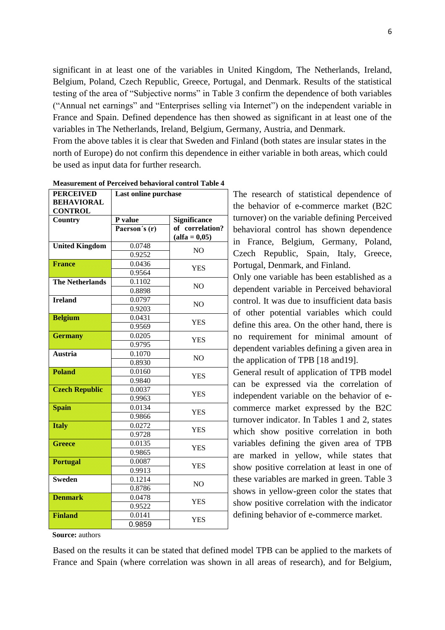significant in at least one of the variables in United Kingdom, The Netherlands, Ireland, Belgium, Poland, Czech Republic, Greece, Portugal, and Denmark. Results of the statistical testing of the area of "Subjective norms" in Table 3 confirm the dependence of both variables ("Annual net earnings" and "Enterprises selling via Internet") on the independent variable in France and Spain. Defined dependence has then showed as significant in at least one of the variables in The Netherlands, Ireland, Belgium, Germany, Austria, and Denmark.

From the above tables it is clear that Sweden and Finland (both states are insular states in the north of Europe) do not confirm this dependence in either variable in both areas, which could be used as input data for further research.

| <b>PERCEIVED</b>       | Last online purchase |                     |  |
|------------------------|----------------------|---------------------|--|
| <b>BEHAVIORAL</b>      |                      |                     |  |
| <b>CONTROL</b>         |                      |                     |  |
| Country                | P value              | <b>Significance</b> |  |
|                        | Paerson's (r)        | of correlation?     |  |
|                        |                      | $(alfa = 0,05)$     |  |
| <b>United Kingdom</b>  | 0.0748               | N <sub>O</sub>      |  |
|                        | 0.9252               |                     |  |
| <b>France</b>          | 0.0436               | <b>YES</b>          |  |
|                        | 0.9564               |                     |  |
| <b>The Netherlands</b> | 0.1102               | N <sub>O</sub>      |  |
|                        | 0.8898               |                     |  |
| <b>Ireland</b>         | 0.0797               | N <sub>O</sub>      |  |
|                        | 0.9203               |                     |  |
| <b>Belgium</b>         | 0.0431               | <b>YES</b>          |  |
|                        | 0.9569               |                     |  |
| <b>Germany</b>         | 0.0205               | <b>YES</b>          |  |
|                        | 0.9795               |                     |  |
| <b>Austria</b>         | 0.1070               | N <sub>O</sub>      |  |
|                        | 0.8930               |                     |  |
| <b>Poland</b>          | 0.0160               | <b>YES</b>          |  |
|                        | 0.9840               |                     |  |
| <b>Czech Republic</b>  | 0.0037               | <b>YES</b>          |  |
|                        | 0.9963               |                     |  |
| <b>Spain</b>           | 0.0134               | <b>YES</b>          |  |
|                        | 0.9866               |                     |  |
| <b>Italy</b>           | 0.0272               | <b>YES</b>          |  |
|                        | 0.9728               |                     |  |
| <b>Greece</b>          | 0.0135               | <b>YES</b>          |  |
|                        | 0.9865               |                     |  |
| <b>Portugal</b>        | 0.0087               | <b>YES</b>          |  |
|                        | 0.9913               |                     |  |
| <b>Sweden</b>          | 0.1214               | N <sub>O</sub>      |  |
|                        | 0.8786               |                     |  |
| <b>Denmark</b>         | 0.0478               | <b>YES</b>          |  |
|                        | 0.9522               |                     |  |
| <b>Finland</b>         | 0.0141               | <b>YES</b>          |  |
|                        | 0.9859               |                     |  |

**Measurement of Perceived behavioral control Table 4**

The research of statistical dependence of the behavior of e-commerce market (B2C turnover) on the variable defining Perceived behavioral control has shown dependence in France, Belgium, Germany, Poland, Czech Republic, Spain, Italy, Greece, Portugal, Denmark, and Finland.

Only one variable has been established as a dependent variable in Perceived behavioral control. It was due to insufficient data basis of other potential variables which could define this area. On the other hand, there is no requirement for minimal amount of dependent variables defining a given area in the application of TPB [18 and19].

General result of application of TPB model can be expressed via the correlation of independent variable on the behavior of ecommerce market expressed by the B2C turnover indicator. In Tables 1 and 2, states which show positive correlation in both variables defining the given area of TPB are marked in yellow, while states that show positive correlation at least in one of these variables are marked in green. Table 3 shows in yellow-green color the states that show positive correlation with the indicator defining behavior of e-commerce market.

**Source:** authors

Based on the results it can be stated that defined model TPB can be applied to the markets of France and Spain (where correlation was shown in all areas of research), and for Belgium,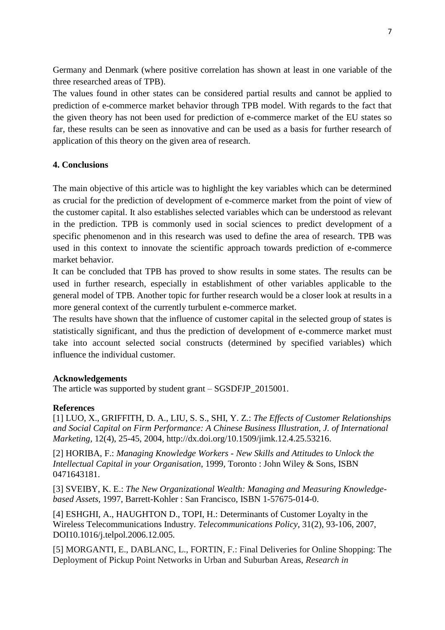Germany and Denmark (where positive correlation has shown at least in one variable of the three researched areas of TPB).

The values found in other states can be considered partial results and cannot be applied to prediction of e-commerce market behavior through TPB model. With regards to the fact that the given theory has not been used for prediction of e-commerce market of the EU states so far, these results can be seen as innovative and can be used as a basis for further research of application of this theory on the given area of research.

# **4. Conclusions**

The main objective of this article was to highlight the key variables which can be determined as crucial for the prediction of development of e-commerce market from the point of view of the customer capital. It also establishes selected variables which can be understood as relevant in the prediction. TPB is commonly used in social sciences to predict development of a specific phenomenon and in this research was used to define the area of research. TPB was used in this context to innovate the scientific approach towards prediction of e-commerce market behavior.

It can be concluded that TPB has proved to show results in some states. The results can be used in further research, especially in establishment of other variables applicable to the general model of TPB. Another topic for further research would be a closer look at results in a more general context of the currently turbulent e-commerce market.

The results have shown that the influence of customer capital in the selected group of states is statistically significant, and thus the prediction of development of e-commerce market must take into account selected social constructs (determined by specified variables) which influence the individual customer.

## **Acknowledgements**

The article was supported by student grant – SGSDFJP\_2015001.

#### **References**

[1] LUO, X., GRIFFITH, D. A., LIU, S. S., SHI, Y. Z.: *The Effects of Customer Relationships and Social Capital on Firm Performance: A Chinese Business Illustration, J. of International Marketing,* 12(4), 25-45, 2004, http://dx.doi.org/10.1509/jimk.12.4.25.53216.

[2] HORIBA, F.: *Managing Knowledge Workers - New Skills and Attitudes to Unlock the Intellectual Capital in your Organisation*, 1999, Toronto : John Wiley & Sons, ISBN 0471643181.

[3] SVEIBY, K. E.: *The New Organizational Wealth: Managing and Measuring Knowledgebased Assets,* 1997, Barrett-Kohler : San Francisco, ISBN 1-57675-014-0.

[4] ESHGHI, A., HAUGHTON D., TOPI, H.: Determinants of Customer Loyalty in the Wireless Telecommunications Industry. *Telecommunications Policy*, 31(2), 93-106, 2007, DOI10.1016/j.telpol.2006.12.005.

[5] MORGANTI, E., DABLANC, L., FORTIN, F.: Final Deliveries for Online Shopping: The Deployment of Pickup Point Networks in Urban and Suburban Areas, *Research in*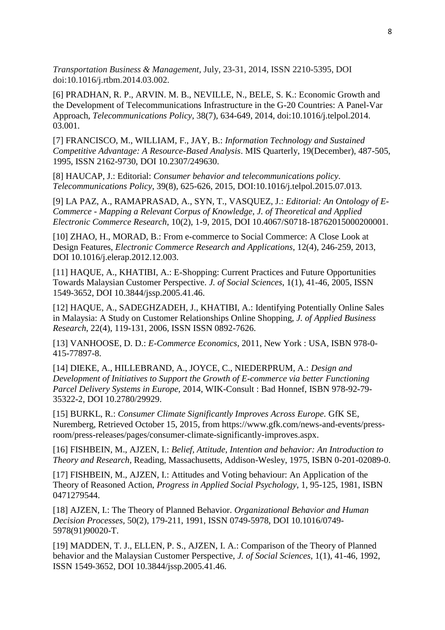*Transportation Business & Management,* July, 23-31, 2014, ISSN 2210-5395, DOI doi:10.1016/j.rtbm.2014.03.002.

[6] PRADHAN, R. P., ARVIN. M. B., NEVILLE, N., BELE, S. K.: Economic Growth and the Development of Telecommunications Infrastructure in the G-20 Countries: A Panel-Var Approach, *Telecommunications Policy,* 38(7), 634-649, 2014, doi:10.1016/j.telpol.2014. 03.001.

[7] FRANCISCO, M., WILLIAM, F., JAY, B.: *Information Technology and Sustained Competitive Advantage: A Resource-Based Analysis*. MIS Quarterly, 19(December), 487-505, 1995, ISSN 2162-9730, DOI 10.2307/249630.

[8] HAUCAP, J.: Editorial: *Consumer behavior and telecommunications policy*. *Telecommunications Policy*, 39(8), 625-626, 2015, DOI:10.1016/j.telpol.2015.07.013.

[9] LA PAZ, A., RAMAPRASAD, A., SYN, T., VASQUEZ, J.: *Editorial: An Ontology of E-Commerce - Mapping a Relevant Corpus of Knowledge, J. of Theoretical and Applied Electronic Commerce Research*, 10(2), 1-9, 2015, DOI 10.4067/S0718-18762015000200001.

[10] ZHAO, H., MORAD, B.: From e-commerce to Social Commerce: A Close Look at Design Features, *Electronic Commerce Research and Applications*, 12(4), 246-259, 2013, DOI 10.1016/j.elerap.2012.12.003.

[11] HAQUE, A., KHATIBI, A.: E-Shopping: Current Practices and Future Opportunities Towards Malaysian Customer Perspective. *J. of Social Sciences*, 1(1), 41-46, 2005, ISSN 1549-3652, DOI 10.3844/jssp.2005.41.46.

[12] HAQUE, A., SADEGHZADEH, J., KHATIBI, A.: Identifying Potentially Online Sales in Malaysia: A Study on Customer Relationships Online Shopping, *J. of Applied Business Research*, 22(4), 119-131, 2006, ISSN ISSN 0892-7626.

[13] VANHOOSE, D. D.: *E-Commerce Economics*, 2011, New York : USA, ISBN 978-0- 415-77897-8.

[14] DIEKE, A., HILLEBRAND, A., JOYCE, C., NIEDERPRUM, A.: *Design and Development of Initiatives to Support the Growth of E-commerce via better Functioning Parcel Delivery Systems in Europe,* 2014, WIK-Consult : Bad Honnef, ISBN 978-92-79- 35322-2, DOI 10.2780/29929.

[15] BURKL, R.: *Consumer Climate Significantly Improves Across Europe.* GfK SE, Nuremberg, Retrieved October 15, 2015, from https://www.gfk.com/news-and-events/pressroom/press-releases/pages/consumer-climate-significantly-improves.aspx.

[16] FISHBEIN, M., AJZEN, I.: *Belief, Attitude, Intention and behavior: An Introduction to Theory and Research,* Reading, Massachusetts, Addison-Wesley, 1975, ISBN 0-201-02089-0.

[17] FISHBEIN, M., AJZEN, I.: Attitudes and Voting behaviour: An Application of the Theory of Reasoned Action, *Progress in Applied Social Psychology*, 1, 95-125, 1981, ISBN 0471279544.

[18] AJZEN, I.: The Theory of Planned Behavior. *Organizational Behavior and Human Decision Processes,* 50(2), 179-211, 1991, ISSN 0749-5978, DOI 10.1016/0749- 5978(91)90020-T.

[19] MADDEN, T. J., ELLEN, P. S., AJZEN, I. A.: Comparison of the Theory of Planned behavior and the Malaysian Customer Perspective, *J. of Social Sciences*, 1(1), 41-46, 1992, ISSN 1549-3652, DOI 10.3844/jssp.2005.41.46.